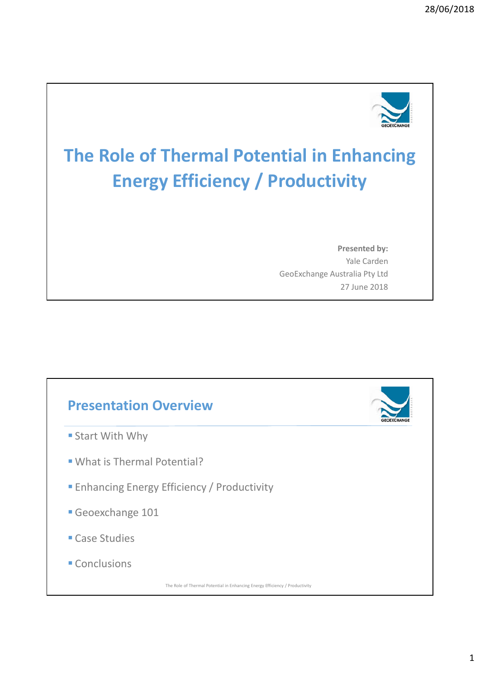

# **The Role of Thermal Potential in Enhancing Energy Efficiency / Productivity**

**Presented by:**  Yale Carden GeoExchange Australia Pty Ltd 27 June 2018

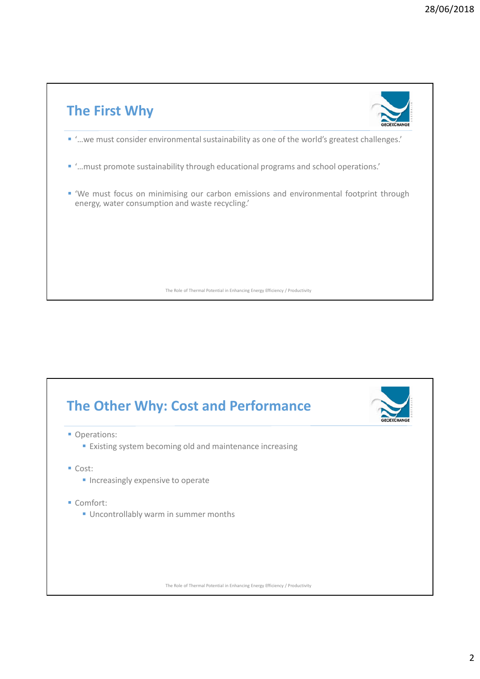

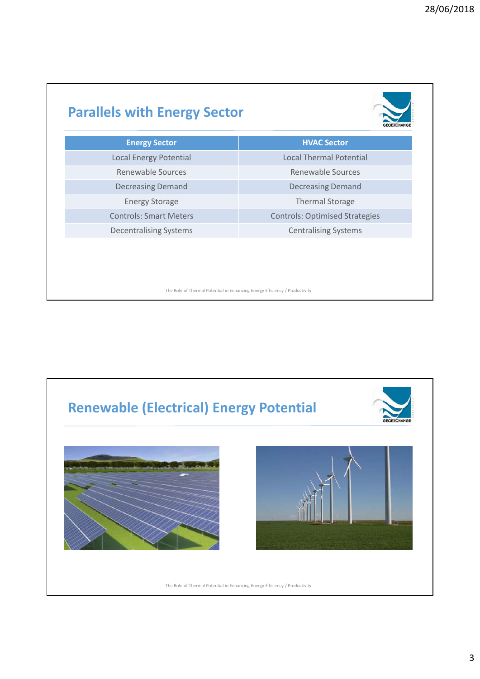### **Parallels with Energy Sector**



| <b>Energy Sector</b>          | <b>HVAC Sector</b>                    |
|-------------------------------|---------------------------------------|
| <b>Local Energy Potential</b> | <b>Local Thermal Potential</b>        |
| Renewable Sources             | Renewable Sources                     |
| <b>Decreasing Demand</b>      | <b>Decreasing Demand</b>              |
| <b>Energy Storage</b>         | <b>Thermal Storage</b>                |
| <b>Controls: Smart Meters</b> | <b>Controls: Optimised Strategies</b> |
| <b>Decentralising Systems</b> | <b>Centralising Systems</b>           |
|                               |                                       |

The Role of Thermal Potential in Enhancing Energy Efficiency / Productivity

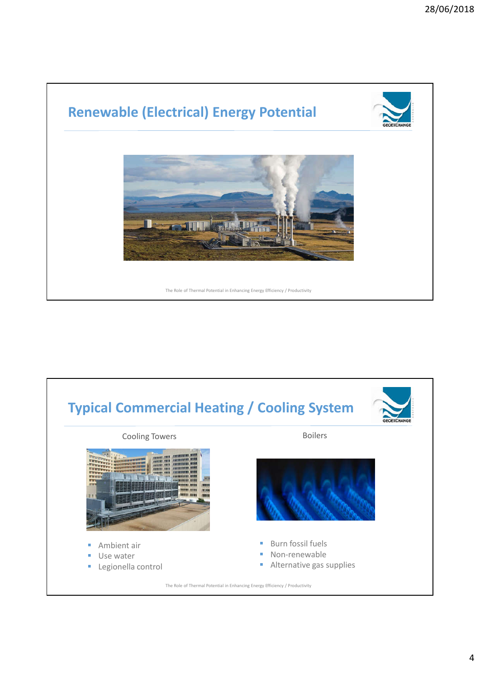

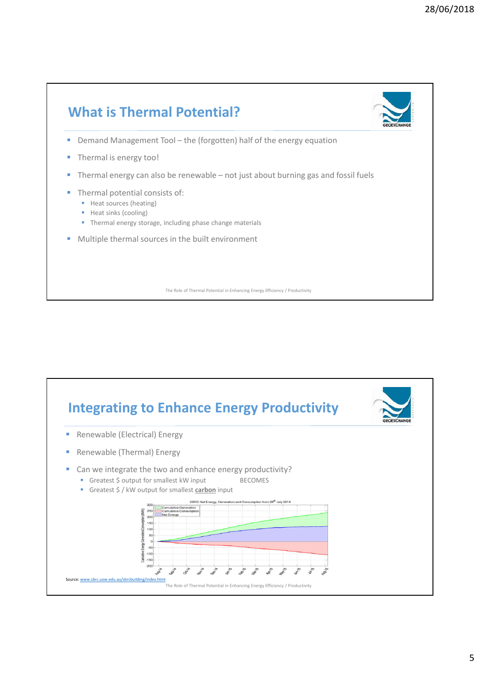

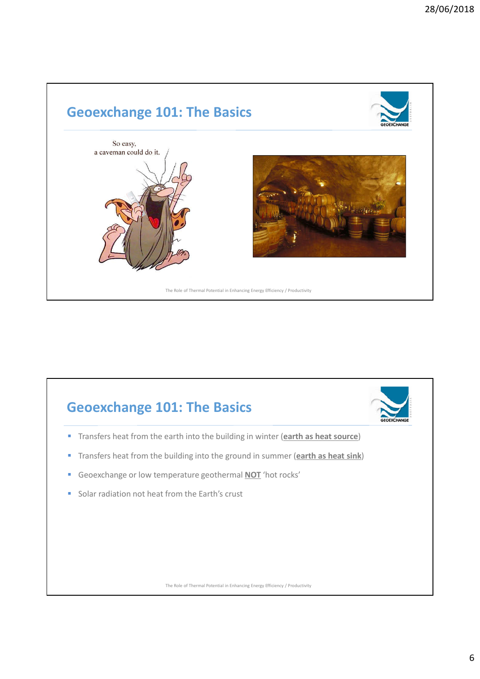

### **Geoexchange 101: The Basics**

- **Transfers heat from the earth into the building in winter (earth as heat source)**
- Transfers heat from the building into the ground in summer (**earth as heat sink**)
- Geoexchange or low temperature geothermal **NOT** 'hot rocks'
- Solar radiation not heat from the Earth's crust

The Role of Thermal Potential in Enhancing Energy Efficiency / Productivity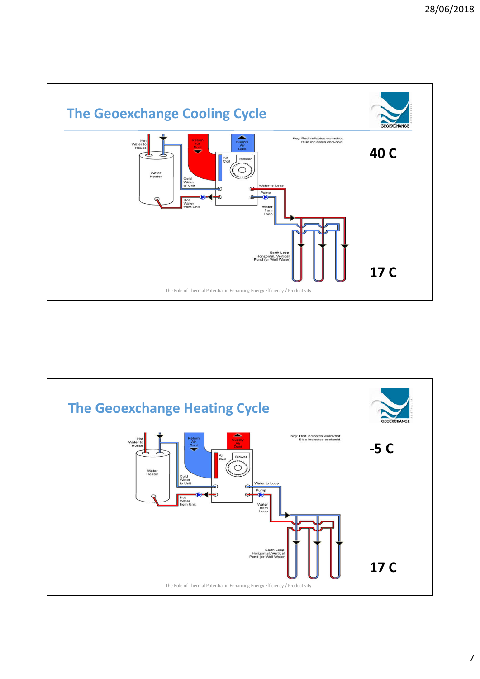

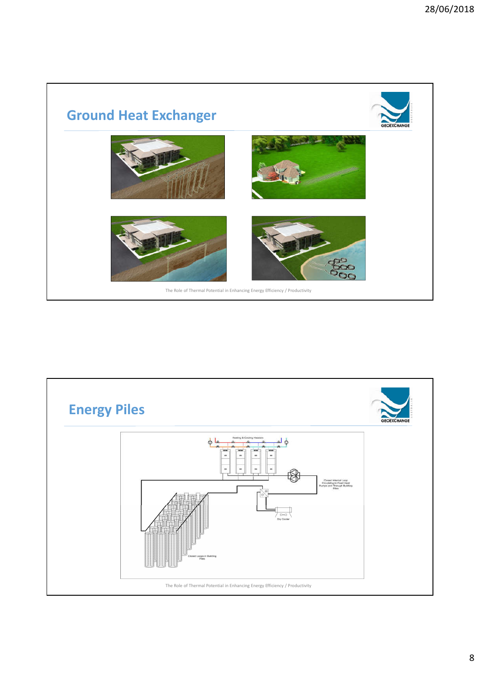

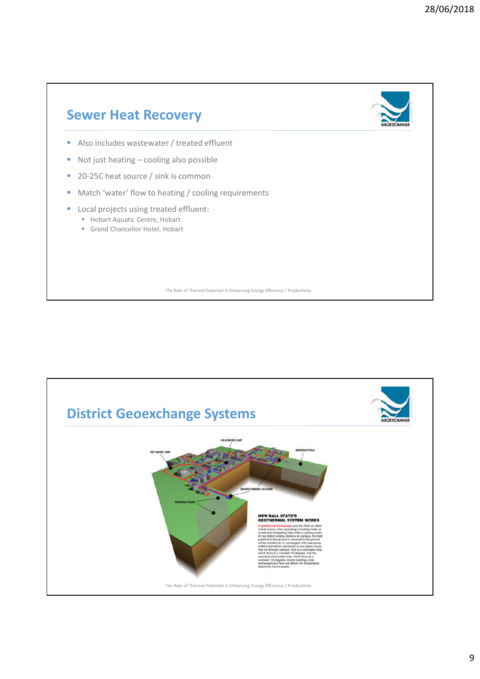

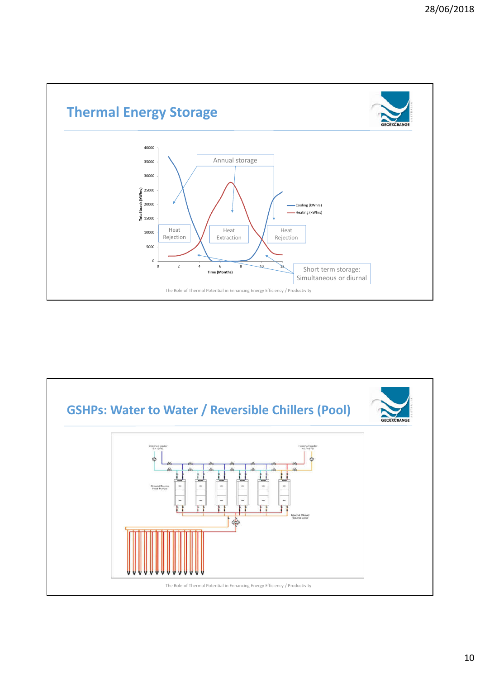

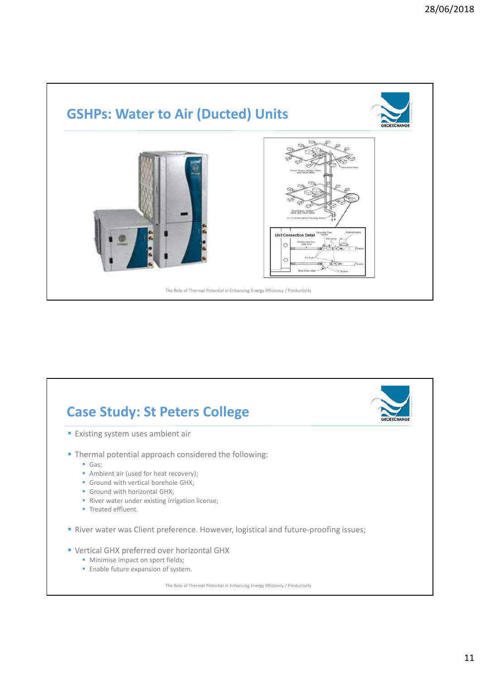

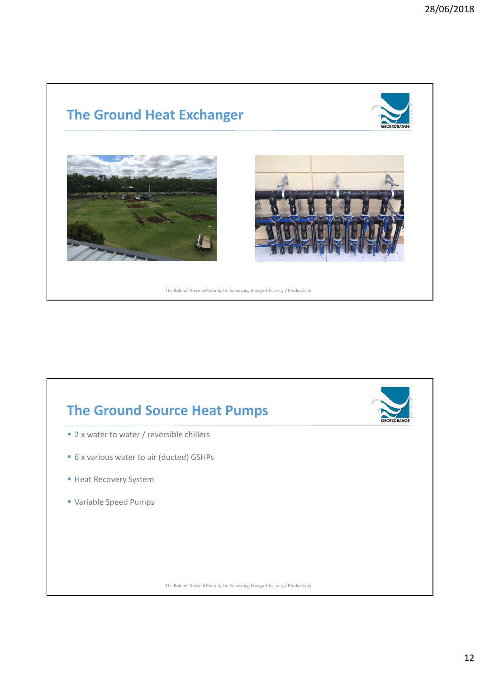



12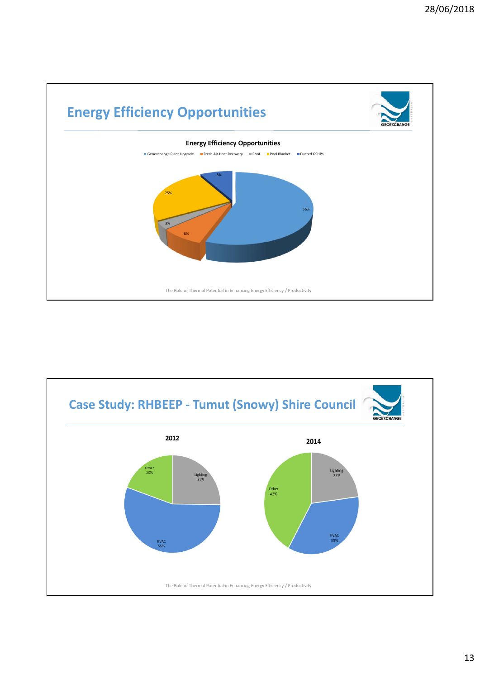

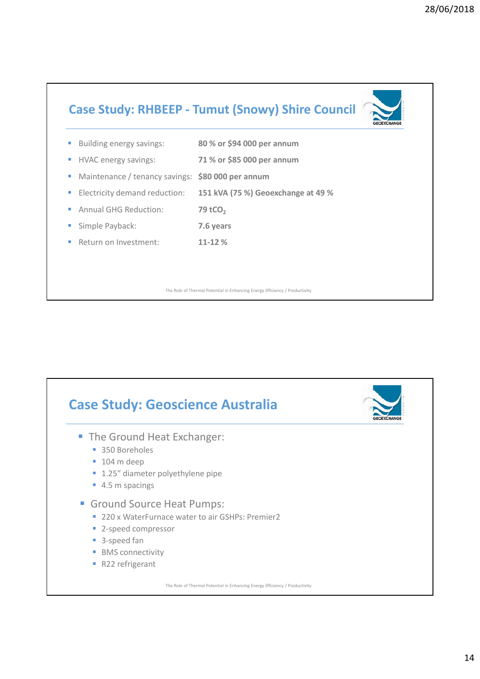#### **Case Study: RHBEEP - Tumut (Snowy) Shire Council**

|         | <b>Building energy savings:</b>                                             | 80 % or \$94 000 per annum         |  |
|---------|-----------------------------------------------------------------------------|------------------------------------|--|
|         | <b>HVAC energy savings:</b>                                                 | 71 % or \$85 000 per annum         |  |
| and the | Maintenance / tenancy savings: \$80 000 per annum                           |                                    |  |
|         | ■ Electricity demand reduction:                                             | 151 kVA (75 %) Geoexchange at 49 % |  |
|         | Annual GHG Reduction:                                                       | 79 tCO <sub>2</sub>                |  |
|         | Simple Payback:                                                             | 7.6 years                          |  |
|         | Return on Investment:                                                       | $11 - 12%$                         |  |
|         |                                                                             |                                    |  |
|         |                                                                             |                                    |  |
|         | The Role of Thermal Potential in Enhancing Energy Efficiency / Productivity |                                    |  |

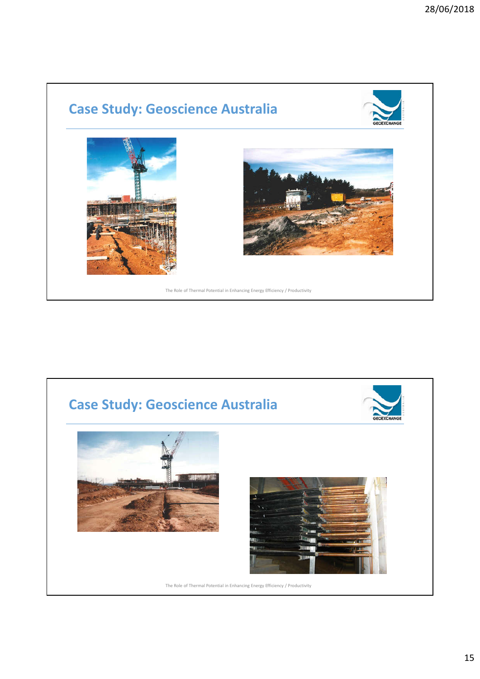## **Case Study: Geoscience Australia**





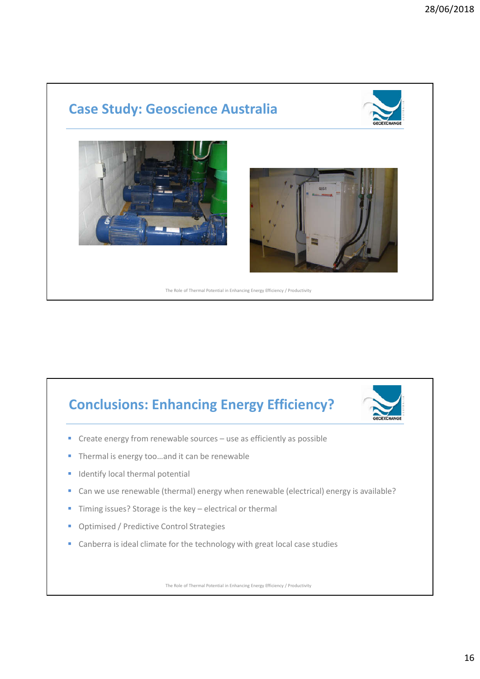#### **Case Study: Geoscience Australia**





# **Conclusions: Enhancing Energy Efficiency?**



- Create energy from renewable sources use as efficiently as possible
- Thermal is energy too…and it can be renewable
- Identify local thermal potential
- Can we use renewable (thermal) energy when renewable (electrical) energy is available?
- Timing issues? Storage is the key electrical or thermal
- Optimised / Predictive Control Strategies
- Canberra is ideal climate for the technology with great local case studies

The Role of Thermal Potential in Enhancing Energy Efficiency / Productivity